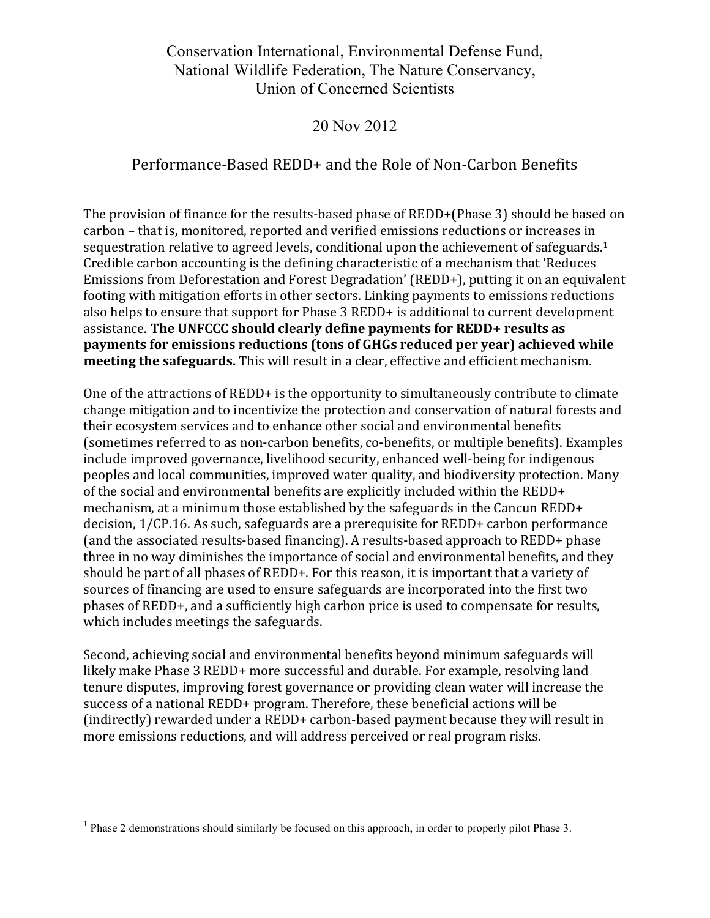Conservation International, Environmental Defense Fund, National Wildlife Federation, The Nature Conservancy, Union of Concerned Scientists

## 20 Nov 2012

## Performance-Based REDD+ and the Role of Non-Carbon Benefits

The provision of finance for the results-based phase of REDD+(Phase 3) should be based on carbon – that is, monitored, reported and verified emissions reductions or increases in sequestration relative to agreed levels, conditional upon the achievement of safeguards.<sup>1</sup> Credible carbon accounting is the defining characteristic of a mechanism that 'Reduces Emissions from Deforestation and Forest Degradation' (REDD+), putting it on an equivalent footing with mitigation efforts in other sectors. Linking payments to emissions reductions also helps to ensure that support for Phase 3 REDD+ is additional to current development assistance. The UNFCCC should clearly define payments for REDD+ results as **payments for emissions reductions (tons of GHGs reduced per year) achieved while meeting the safeguards.** This will result in a clear, effective and efficient mechanism.

One of the attractions of REDD+ is the opportunity to simultaneously contribute to climate change mitigation and to incentivize the protection and conservation of natural forests and their ecosystem services and to enhance other social and environmental benefits (sometimes referred to as non-carbon benefits, co-benefits, or multiple benefits). Examples include improved governance, livelihood security, enhanced well-being for indigenous peoples and local communities, improved water quality, and biodiversity protection. Many of the social and environmental benefits are explicitly included within the REDD+ mechanism, at a minimum those established by the safeguards in the Cancun REDD+ decision, 1/CP.16. As such, safeguards are a prerequisite for REDD+ carbon performance (and the associated results-based financing). A results-based approach to REDD+ phase three in no way diminishes the importance of social and environmental benefits, and they should be part of all phases of REDD+. For this reason, it is important that a variety of sources of financing are used to ensure safeguards are incorporated into the first two phases of REDD+, and a sufficiently high carbon price is used to compensate for results, which includes meetings the safeguards.

Second, achieving social and environmental benefits beyond minimum safeguards will likely make Phase 3 REDD+ more successful and durable. For example, resolving land tenure disputes, improving forest governance or providing clean water will increase the success of a national REDD+ program. Therefore, these beneficial actions will be (indirectly) rewarded under a REDD+ carbon-based payment because they will result in more emissions reductions, and will address perceived or real program risks.

 $\frac{1}{1}$ <sup>1</sup> Phase 2 demonstrations should similarly be focused on this approach, in order to properly pilot Phase 3.